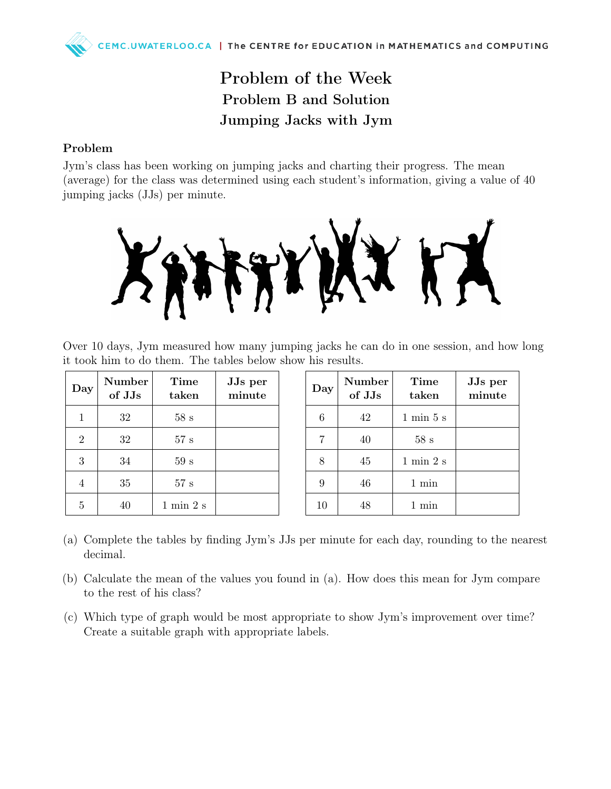## Problem of the Week Problem B and Solution Jumping Jacks with Jym

## Problem

Jym's class has been working on jumping jacks and charting their progress. The mean (average) for the class was determined using each student's information, giving a value of 40 jumping jacks (JJs) per minute.



Over 10 days, Jym measured how many jumping jacks he can do in one session, and how long it took him to do them. The tables below show his results.

| Day            | Number<br>of JJs | Time<br>taken                | JJs per<br>minute |
|----------------|------------------|------------------------------|-------------------|
| 1              | 32               | 58s                          |                   |
| $\overline{2}$ | 32               | 57 s                         |                   |
| 3              | 34               | 59s                          |                   |
| 4              | 35               | 57 s                         |                   |
| 5              |                  | $1 \text{ min } 2 \text{ s}$ |                   |

| Day | <b>Number</b><br>of JJs | Time<br>taken                | JJs per<br>minute |
|-----|-------------------------|------------------------------|-------------------|
| 6   | 42                      | $1 \text{ min } 5 \text{ s}$ |                   |
| 7   | 40                      | 58s                          |                   |
| 8   | 45                      | $1 \text{ min } 2 \text{ s}$ |                   |
| 9   | 46                      | $1 \text{ min}$              |                   |
| 10  |                         | 1 min                        |                   |

- (a) Complete the tables by finding Jym's JJs per minute for each day, rounding to the nearest decimal.
- (b) Calculate the mean of the values you found in (a). How does this mean for Jym compare to the rest of his class?
- (c) Which type of graph would be most appropriate to show Jym's improvement over time? Create a suitable graph with appropriate labels.